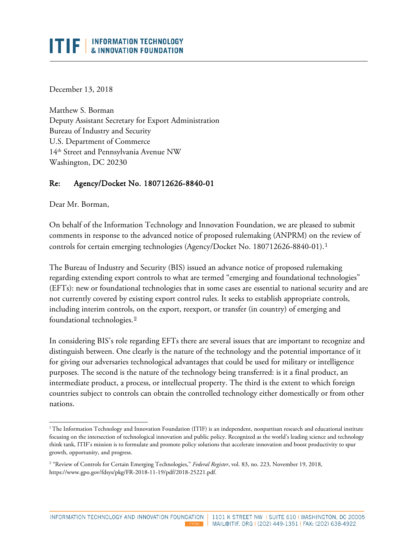## **INFORMATION TECHNOLOGY** ITIF I & INNOVATION FOUNDATION

December 13, 2018

Matthew S. Borman Deputy Assistant Secretary for Export Administration Bureau of Industry and Security U.S. Department of Commerce 14th Street and Pennsylvania Avenue NW Washington, DC 20230

## Re: Agency/Docket No. 180712626-8840-01

Dear Mr. Borman,

l

On behalf of the Information Technology and Innovation Foundation, we are pleased to submit comments in response to the advanced notice of proposed rulemaking (ANPRM) on the review of controls for certain emerging technologies (Agency/Docket No. 180712626-8840-01).[1](#page-0-0)

The Bureau of Industry and Security (BIS) issued an advance notice of proposed rulemaking regarding extending export controls to what are termed "emerging and foundational technologies" (EFTs): new or foundational technologies that in some cases are essential to national security and are not currently covered by existing export control rules. It seeks to establish appropriate controls, including interim controls, on the export, reexport, or transfer (in country) of emerging and foundational technologies.[2](#page-0-1)

In considering BIS's role regarding EFTs there are several issues that are important to recognize and distinguish between. One clearly is the nature of the technology and the potential importance of it for giving our adversaries technological advantages that could be used for military or intelligence purposes. The second is the nature of the technology being transferred: is it a final product, an intermediate product, a process, or intellectual property. The third is the extent to which foreign countries subject to controls can obtain the controlled technology either domestically or from other nations.

<span id="page-0-0"></span><sup>&</sup>lt;sup>1</sup>The Information Technology and Innovation Foundation (ITIF) is an independent, nonpartisan research and educational institute focusing on the intersection of technological innovation and public policy. Recognized as the world's leading science and technology think tank, ITIF's mission is to formulate and promote policy solutions that accelerate innovation and boost productivity to spur growth, opportunity, and progress.

<span id="page-0-1"></span><sup>2</sup> "Review of Controls for Certain Emerging Technologies," *Federal Register*, vol. 83, no. 223, November 19, 2018, https://www.gpo.gov/fdsys/pkg/FR-2018-11-19/pdf/2018-25221.pdf.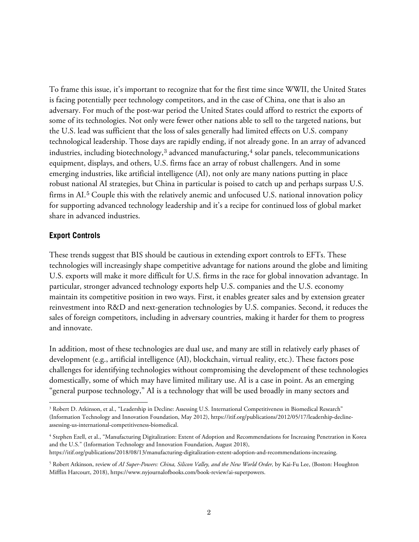To frame this issue, it's important to recognize that for the first time since WWII, the United States is facing potentially peer technology competitors, and in the case of China, one that is also an adversary. For much of the post-war period the United States could afford to restrict the exports of some of its technologies. Not only were fewer other nations able to sell to the targeted nations, but the U.S. lead was sufficient that the loss of sales generally had limited effects on U.S. company technological leadership. Those days are rapidly ending, if not already gone. In an array of advanced industries, including biotechnology, $3$  advanced manufacturing, $4$  solar panels, telecommunications equipment, displays, and others, U.S. firms face an array of robust challengers. And in some emerging industries, like artificial intelligence (AI), not only are many nations putting in place robust national AI strategies, but China in particular is poised to catch up and perhaps surpass U.S. firms in AI.<sup>[5](#page-1-2)</sup> Couple this with the relatively anemic and unfocused U.S. national innovation policy for supporting advanced technology leadership and it's a recipe for continued loss of global market share in advanced industries.

## **Export Controls**

l

These trends suggest that BIS should be cautious in extending export controls to EFTs. These technologies will increasingly shape competitive advantage for nations around the globe and limiting U.S. exports will make it more difficult for U.S. firms in the race for global innovation advantage. In particular, stronger advanced technology exports help U.S. companies and the U.S. economy maintain its competitive position in two ways. First, it enables greater sales and by extension greater reinvestment into R&D and next-generation technologies by U.S. companies. Second, it reduces the sales of foreign competitors, including in adversary countries, making it harder for them to progress and innovate.

In addition, most of these technologies are dual use, and many are still in relatively early phases of development (e.g., artificial intelligence (AI), blockchain, virtual reality, etc.). These factors pose challenges for identifying technologies without compromising the development of these technologies domestically, some of which may have limited military use. AI is a case in point. As an emerging "general purpose technology," AI is a technology that will be used broadly in many sectors and

<span id="page-1-0"></span><sup>&</sup>lt;sup>3</sup> Robert D. Atkinson, et al., "Leadership in Decline: Assessing U.S. International Competitiveness in Biomedical Research" (Information Technology and Innovation Foundation, May 2012), https://itif.org/publications/2012/05/17/leadership-declineassessing-us-international-competitiveness-biomedical.

<span id="page-1-1"></span><sup>4</sup> Stephen Ezell, et al., "Manufacturing Digitalization: Extent of Adoption and Recommendations for Increasing Penetration in Korea and the U.S." (Information Technology and Innovation Foundation, August 2018),

https://itif.org/publications/2018/08/13/manufacturing-digitalization-extent-adoption-and-recommendations-increasing.

<span id="page-1-2"></span><sup>5</sup> Robert Atkinson, review of *AI Super-Powers: China, Silicon Valley, and the New World Order,* by Kai-Fu Lee, (Boston: Houghton Mifflin Harcourt, 2018), https://www.nyjournalofbooks.com/book-review/ai-superpowers.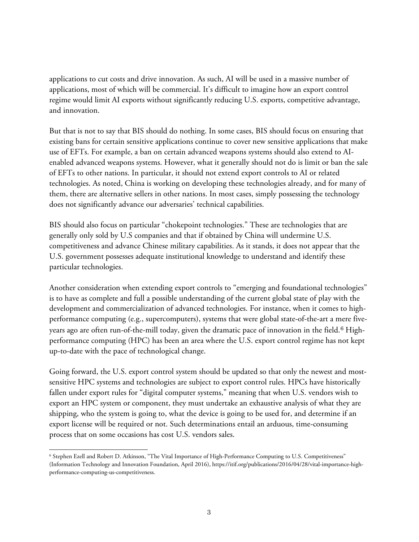applications to cut costs and drive innovation. As such, AI will be used in a massive number of applications, most of which will be commercial. It's difficult to imagine how an export control regime would limit AI exports without significantly reducing U.S. exports, competitive advantage, and innovation.

But that is not to say that BIS should do nothing. In some cases, BIS should focus on ensuring that existing bans for certain sensitive applications continue to cover new sensitive applications that make use of EFTs. For example, a ban on certain advanced weapons systems should also extend to AIenabled advanced weapons systems. However, what it generally should not do is limit or ban the sale of EFTs to other nations. In particular, it should not extend export controls to AI or related technologies. As noted, China is working on developing these technologies already, and for many of them, there are alternative sellers in other nations. In most cases, simply possessing the technology does not significantly advance our adversaries' technical capabilities.

BIS should also focus on particular "chokepoint technologies." These are technologies that are generally only sold by U.S companies and that if obtained by China will undermine U.S. competitiveness and advance Chinese military capabilities. As it stands, it does not appear that the U.S. government possesses adequate institutional knowledge to understand and identify these particular technologies.

Another consideration when extending export controls to "emerging and foundational technologies" is to have as complete and full a possible understanding of the current global state of play with the development and commercialization of advanced technologies. For instance, when it comes to highperformance computing (e.g., supercomputers), systems that were global state-of-the-art a mere five-years ago are often run-of-the-mill today, given the dramatic pace of innovation in the field.<sup>[6](#page-2-0)</sup> Highperformance computing (HPC) has been an area where the U.S. export control regime has not kept up-to-date with the pace of technological change.

Going forward, the U.S. export control system should be updated so that only the newest and mostsensitive HPC systems and technologies are subject to export control rules. HPCs have historically fallen under export rules for "digital computer systems," meaning that when U.S. vendors wish to export an HPC system or component, they must undertake an exhaustive analysis of what they are shipping, who the system is going to, what the device is going to be used for, and determine if an export license will be required or not. Such determinations entail an arduous, time-consuming process that on some occasions has cost U.S. vendors sales.

<span id="page-2-0"></span>l <sup>6</sup> Stephen Ezell and Robert D. Atkinson, "The Vital Importance of High-Performance Computing to U.S. Competitiveness" (Information Technology and Innovation Foundation, April 2016), https://itif.org/publications/2016/04/28/vital-importance-highperformance-computing-us-competitiveness.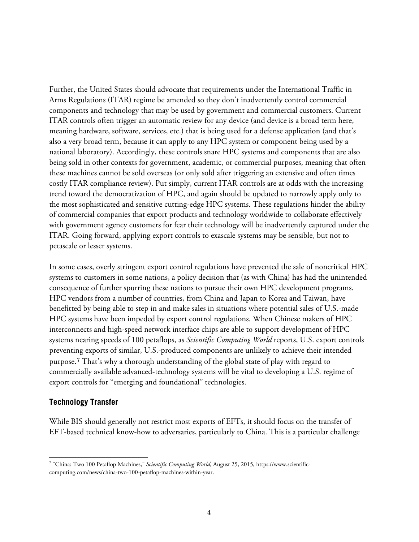Further, the United States should advocate that requirements under the International Traffic in Arms Regulations (ITAR) regime be amended so they don't inadvertently control commercial components and technology that may be used by government and commercial customers. Current ITAR controls often trigger an automatic review for any device (and device is a broad term here, meaning hardware, software, services, etc.) that is being used for a defense application (and that's also a very broad term, because it can apply to any HPC system or component being used by a national laboratory). Accordingly, these controls snare HPC systems and components that are also being sold in other contexts for government, academic, or commercial purposes, meaning that often these machines cannot be sold overseas (or only sold after triggering an extensive and often times costly ITAR compliance review). Put simply, current ITAR controls are at odds with the increasing trend toward the democratization of HPC, and again should be updated to narrowly apply only to the most sophisticated and sensitive cutting-edge HPC systems. These regulations hinder the ability of commercial companies that export products and technology worldwide to collaborate effectively with government agency customers for fear their technology will be inadvertently captured under the ITAR. Going forward, applying export controls to exascale systems may be sensible, but not to petascale or lesser systems.

In some cases, overly stringent export control regulations have prevented the sale of noncritical HPC systems to customers in some nations, a policy decision that (as with China) has had the unintended consequence of further spurring these nations to pursue their own HPC development programs. HPC vendors from a number of countries, from China and Japan to Korea and Taiwan, have benefitted by being able to step in and make sales in situations where potential sales of U.S.-made HPC systems have been impeded by export control regulations. When Chinese makers of HPC interconnects and high-speed network interface chips are able to support development of HPC systems nearing speeds of 100 petaflops, as *Scientific Computing World* reports, U.S. export controls preventing exports of similar, U.S.-produced components are unlikely to achieve their intended purpose.[7](#page-3-0) That's why a thorough understanding of the global state of play with regard to commercially available advanced-technology systems will be vital to developing a U.S. regime of export controls for "emerging and foundational" technologies.

## **Technology Transfer**

While BIS should generally not restrict most exports of EFTs, it should focus on the transfer of EFT-based technical know-how to adversaries, particularly to China. This is a particular challenge

<span id="page-3-0"></span>l <sup>7</sup> "China: Two 100 Petaflop Machines," *Scientific Computing World,* August 25, 2015, https://www.scientificcomputing.com/news/china-two-100-petaflop-machines-within-year.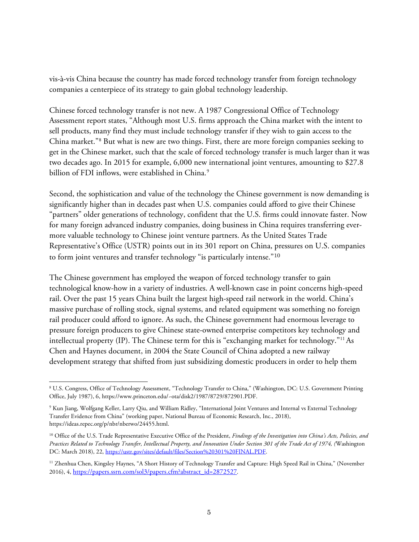vis-à-vis China because the country has made forced technology transfer from foreign technology companies a centerpiece of its strategy to gain global technology leadership.

Chinese forced technology transfer is not new. A 1987 Congressional Office of Technology Assessment report states, "Although most U.S. firms approach the China market with the intent to sell products, many find they must include technology transfer if they wish to gain access to the China market."[8](#page-4-0) But what is new are two things. First, there are more foreign companies seeking to get in the Chinese market, such that the scale of forced technology transfer is much larger than it was two decades ago. In 2015 for example, 6,000 new international joint ventures, amounting to \$27.8 billion of FDI inflows, were established in China.<sup>[9](#page-4-1)</sup>

Second, the sophistication and value of the technology the Chinese government is now demanding is significantly higher than in decades past when U.S. companies could afford to give their Chinese "partners" older generations of technology, confident that the U.S. firms could innovate faster. Now for many foreign advanced industry companies, doing business in China requires transferring evermore valuable technology to Chinese joint venture partners. As the United States Trade Representative's Office (USTR) points out in its 301 report on China, pressures on U.S. companies to form joint ventures and transfer technology "is particularly intense."<sup>[10](#page-4-2)</sup>

The Chinese government has employed the weapon of forced technology transfer to gain technological know-how in a variety of industries. A well-known case in point concerns high-speed rail. Over the past 15 years China built the largest high-speed rail network in the world. China's massive purchase of rolling stock, signal systems, and related equipment was something no foreign rail producer could afford to ignore. As such, the Chinese government had enormous leverage to pressure foreign producers to give Chinese state-owned enterprise competitors key technology and intellectual property (IP). The Chinese term for this is "exchanging market for technology."<sup>[11](#page-4-3)</sup> As Chen and Haynes document, in 2004 the State Council of China adopted a new railway development strategy that shifted from just subsidizing domestic producers in order to help them

<span id="page-4-0"></span>l <sup>8</sup> U.S. Congress, Office of Technology Assessment, "Technology Transfer to China," (Washington, DC: U.S. Government Printing Office, July 1987), 6, [https://www.princeton.edu/~ota/disk2/1987/8729/872901.PDF.](https://www.princeton.edu/%7Eota/disk2/1987/8729/872901.PDF)

<span id="page-4-1"></span><sup>9</sup> Kun Jiang, Wolfgang Keller, Larry Qiu, and William Ridley, "International Joint Ventures and Internal vs External Technology Transfer Evidence from China" (working paper, National Bureau of Economic Research, Inc., 2018), https://ideas.repec.org/p/nbr/nberwo/24455.html.

<span id="page-4-2"></span><sup>&</sup>lt;sup>10</sup> Office of the U.S. Trade Representative Executive Office of the President, *Findings of the Investigation into China's Acts, Policies, and Practices Related to Technology Transfer, Intellectual Property, and Innovation Under Section 301 of the Trade Act of 1974, (*Washington DC: March 2018), 22, [https://ustr.gov/sites/default/files/Section%20301%20FINAL.PDF.](https://ustr.gov/sites/default/files/Section%20301%20FINAL.PDF)

<span id="page-4-3"></span><sup>&</sup>lt;sup>11</sup> Zhenhua Chen, Kingsley Haynes, "A Short History of Technology Transfer and Capture: High Speed Rail in China," (November 2016), 4[, https://papers.ssrn.com/sol3/papers.cfm?abstract\\_id=2872527.](https://papers.ssrn.com/sol3/papers.cfm?abstract_id=2872527)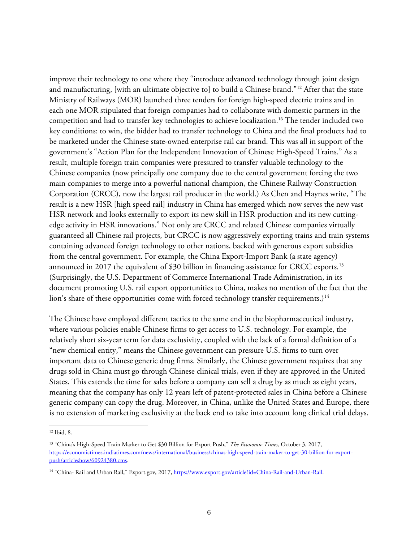improve their technology to one where they "introduce advanced technology through joint design and manufacturing, [with an ultimate objective to] to build a Chinese brand."[12](#page-5-0) After that the state Ministry of Railways (MOR) launched three tenders for foreign high-speed electric trains and in each one MOR stipulated that foreign companies had to collaborate with domestic partners in the competition and had to transfer key technologies to achieve localization.16 The tender included two key conditions: to win, the bidder had to transfer technology to China and the final products had to be marketed under the Chinese state-owned enterprise rail car brand. This was all in support of the government's "Action Plan for the Independent Innovation of Chinese High-Speed Trains." As a result, multiple foreign train companies were pressured to transfer valuable technology to the Chinese companies (now principally one company due to the central government forcing the two main companies to merge into a powerful national champion, the Chinese Railway Construction Corporation (CRCC), now the largest rail producer in the world.) As Chen and Haynes write, "The result is a new HSR [high speed rail] industry in China has emerged which now serves the new vast HSR network and looks externally to export its new skill in HSR production and its new cuttingedge activity in HSR innovations." Not only are CRCC and related Chinese companies virtually guaranteed all Chinese rail projects, but CRCC is now aggressively exporting trains and train systems containing advanced foreign technology to other nations, backed with generous export subsidies from the central government. For example, the China Export-Import Bank (a state agency) announced in 2017 the equivalent of \$30 billion in financing assistance for CRCC exports.<sup>[13](#page-5-1)</sup> (Surprisingly, the U.S. Department of Commerce International Trade Administration, in its document promoting U.S. rail export opportunities to China, makes no mention of the fact that the lion's share of these opportunities come with forced technology transfer requirements.)<sup>[14](#page-5-2)</sup>

The Chinese have employed different tactics to the same end in the biopharmaceutical industry, where various policies enable Chinese firms to get access to U.S. technology. For example, the relatively short six-year term for data exclusivity, coupled with the lack of a formal definition of a "new chemical entity," means the Chinese government can pressure U.S. firms to turn over important data to Chinese generic drug firms. Similarly, the Chinese government requires that any drugs sold in China must go through Chinese clinical trials, even if they are approved in the United States. This extends the time for sales before a company can sell a drug by as much as eight years, meaning that the company has only 12 years left of patent-protected sales in China before a Chinese generic company can copy the drug. Moreover, in China, unlike the United States and Europe, there is no extension of marketing exclusivity at the back end to take into account long clinical trial delays.

l

<span id="page-5-0"></span><sup>12</sup> Ibid, 8.

<span id="page-5-1"></span><sup>13</sup> "China's High-Speed Train Marker to Get \$30 Billion for Export Push," *The Economic Times,* October 3, 2017, [https://economictimes.indiatimes.com/news/international/business/chinas-high-speed-train-maker-to-get-30-billion-for-export](https://economictimes.indiatimes.com/news/international/business/chinas-high-speed-train-maker-to-get-30-billion-for-export-push/articleshow/60924380.cms)[push/articleshow/60924380.cms.](https://economictimes.indiatimes.com/news/international/business/chinas-high-speed-train-maker-to-get-30-billion-for-export-push/articleshow/60924380.cms)

<span id="page-5-2"></span><sup>&</sup>lt;sup>14</sup> "China- Rail and Urban Rail," Export.gov, 2017, [https://www.export.gov/article?id=China-Rail-and-Urban-Rail.](https://www.export.gov/article?id=China-Rail-and-Urban-Rail)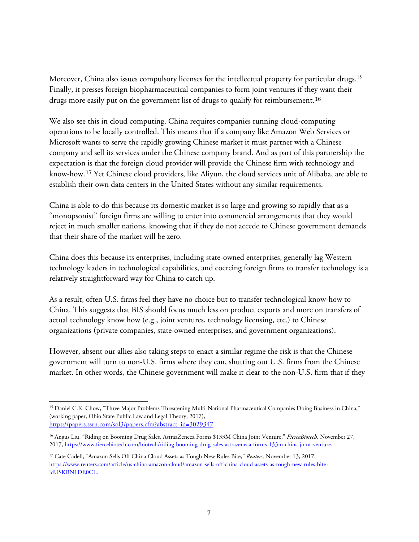Moreover, China also issues compulsory licenses for the intellectual property for particular drugs.<sup>[15](#page-6-0)</sup> Finally, it presses foreign biopharmaceutical companies to form joint ventures if they want their drugs more easily put on the government list of drugs to qualify for reimbursement.<sup>[16](#page-6-1)</sup>

We also see this in cloud computing. China requires companies running cloud-computing operations to be locally controlled. This means that if a company like Amazon Web Services or Microsoft wants to serve the rapidly growing Chinese market it must partner with a Chinese company and sell its services under the Chinese company brand. And as part of this partnership the expectation is that the foreign cloud provider will provide the Chinese firm with technology and know-how.[17](#page-6-2) Yet Chinese cloud providers, like Aliyun, the cloud services unit of Alibaba, are able to establish their own data centers in the United States without any similar requirements.

China is able to do this because its domestic market is so large and growing so rapidly that as a "monopsonist" foreign firms are willing to enter into commercial arrangements that they would reject in much smaller nations, knowing that if they do not accede to Chinese government demands that their share of the market will be zero.

China does this because its enterprises, including state-owned enterprises, generally lag Western technology leaders in technological capabilities, and coercing foreign firms to transfer technology is a relatively straightforward way for China to catch up.

As a result, often U.S. firms feel they have no choice but to transfer technological know-how to China. This suggests that BIS should focus much less on product exports and more on transfers of actual technology know how (e.g., joint ventures, technology licensing, etc.) to Chinese organizations (private companies, state-owned enterprises, and government organizations).

However, absent our allies also taking steps to enact a similar regime the risk is that the Chinese government will turn to non-U.S. firms where they can, shutting out U.S. firms from the Chinese market. In other words, the Chinese government will make it clear to the non-U.S. firm that if they

<span id="page-6-0"></span>l <sup>15</sup> Daniel C.K. Chow, "Three Major Problems Threatening Multi-National Pharmaceutical Companies Doing Business in China," (working paper, Ohio State Public Law and Legal Theory, 2017), [https://papers.ssrn.com/sol3/papers.cfm?abstract\\_id=3029347.](https://papers.ssrn.com/sol3/papers.cfm?abstract_id=3029347)

<span id="page-6-1"></span><sup>16</sup> Angus Liu, "Riding on Booming Drug Sales, AstraaZeneca Forms \$133M China Joint Venture," *FierceBiotech,* November 27, 2017[, https://www.fiercebiotech.com/biotech/riding-booming-drug-sales-astrazeneca-forms-133m-china-joint-venture.](https://www.fiercebiotech.com/biotech/riding-booming-drug-sales-astrazeneca-forms-133m-china-joint-venture)

<span id="page-6-2"></span><sup>17</sup> Cate Cadell, "Amazon Sells Off China Cloud Assets as Tough New Rules Bite," *Reuters,* November 13, 2017, [https://www.reuters.com/article/us-china-amazon-cloud/amazon-sells-off-china-cloud-assets-as-tough-new-rules-bite](https://www.reuters.com/article/us-china-amazon-cloud/amazon-sells-off-china-cloud-assets-as-tough-new-rules-bite-idUSKBN1DE0CL)[idUSKBN1DE0CL.](https://www.reuters.com/article/us-china-amazon-cloud/amazon-sells-off-china-cloud-assets-as-tough-new-rules-bite-idUSKBN1DE0CL)